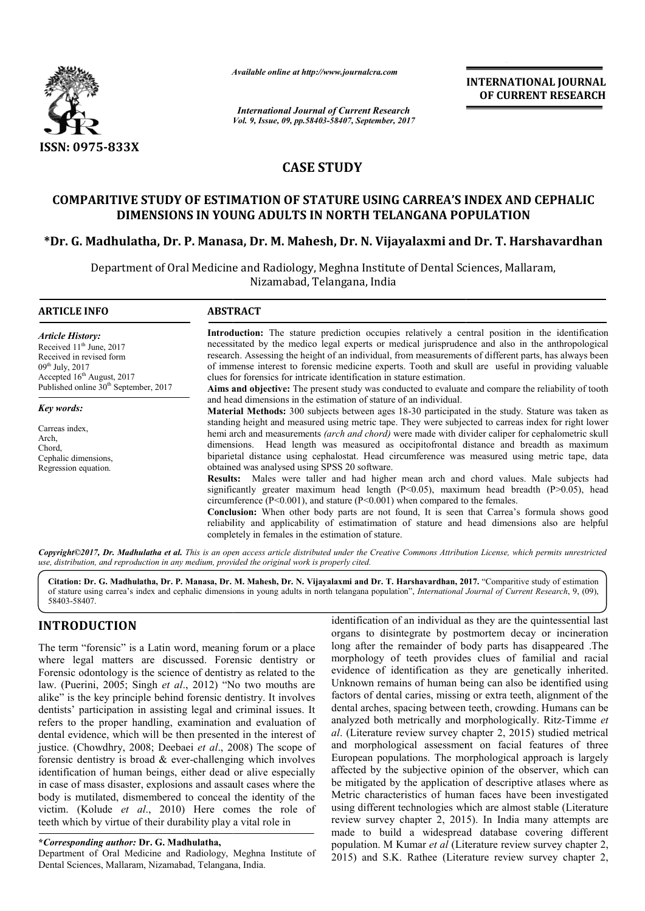

*Available online at http://www.journal http://www.journalcra.com*

*Vol. 9, Issue, 09, pp.58403-58407, September, 2017 International Journal of Current Research*

**INTERNATIONAL JOURNAL OF CURRENT RESEARCH** 

# **CASE STUDY**

# **COMPARITIVE STUDY OF ESTIMATION OF STATURE USING CARREA'S INDEX AND CEPHALIC DIMENSIONS IN YOUNG ADULTS IN NORTH TELANGANA POPULATION** COMPARITIVE STUDY OF ESTIMATION OF STATURE USING CARREA'S INDEX AND CEPHALIC<br>DIMENSIONS IN YOUNG ADULTS IN NORTH TELANGANA POPULATION<br>Dr. G. Madhulatha, Dr. P. Manasa, Dr. M. Mahesh, Dr. N. Vijayalaxmi and Dr. T. Harshavar

Department of Oral Medicine and Radiology, Meghna Institute of Dental Sciences, Mallaram, Nizamabad, Telangana, India

| <b>ARTICLE INFO</b>                                                                                                                                                                                      | <b>ABSTRACT</b>                                                                                                                                                                                                                                                                                                                                                                                                                                                                                                                                                                                                                                                                                                                                                                                                                                                                                                                                                                                                                                                                                                                                                                                     |
|----------------------------------------------------------------------------------------------------------------------------------------------------------------------------------------------------------|-----------------------------------------------------------------------------------------------------------------------------------------------------------------------------------------------------------------------------------------------------------------------------------------------------------------------------------------------------------------------------------------------------------------------------------------------------------------------------------------------------------------------------------------------------------------------------------------------------------------------------------------------------------------------------------------------------------------------------------------------------------------------------------------------------------------------------------------------------------------------------------------------------------------------------------------------------------------------------------------------------------------------------------------------------------------------------------------------------------------------------------------------------------------------------------------------------|
| <b>Article History:</b><br>Received $11th$ June, 2017<br>Received in revised form<br>$09^{th}$ July, 2017<br>Accepted 16 <sup>th</sup> August, 2017<br>Published online 30 <sup>th</sup> September, 2017 | <b>Introduction:</b> The stature prediction occupies relatively a central position in the identification<br>necessitated by the medico legal experts or medical jurisprudence and also in the anthropological<br>research. Assessing the height of an individual, from measurements of different parts, has always been<br>of immense interest to forensic medicine experts. Tooth and skull are useful in providing valuable<br>clues for forensics for intricate identification in stature estimation.<br><b>Aims and objective:</b> The present study was conducted to evaluate and compare the reliability of tooth                                                                                                                                                                                                                                                                                                                                                                                                                                                                                                                                                                             |
| Key words:<br>Carreas index.<br>Arch,<br>Chord.<br>Cephalic dimensions,<br>Regression equation.                                                                                                          | and head dimensions in the estimation of stature of an individual.<br><b>Material Methods:</b> 300 subjects between ages 18-30 participated in the study. Stature was taken as<br>standing height and measured using metric tape. They were subjected to carreas index for right lower<br>hemi arch and measurements (arch and chord) were made with divider caliper for cephalometric skull<br>dimensions. Head length was measured as occipitofrontal distance and breadth as maximum<br>biparietal distance using cephalostat. Head circumference was measured using metric tape, data<br>obtained was analysed using SPSS 20 software.<br><b>Results:</b> Males were taller and had higher mean arch and chord values. Male subjects had<br>significantly greater maximum head length $(P<0.05)$ , maximum head breadth $(P>0.05)$ , head<br>circumference $(P<0.001)$ , and stature $(P<0.001)$ when compared to the females.<br><b>Conclusion:</b> When other body parts are not found, It is seen that Carrea's formula shows good<br>reliability and applicability of estimatimation of stature and head dimensions also are helpful<br>completely in females in the estimation of stature. |

*Copyright©2017, Dr. Madhulatha et al. This is an open access article distributed under the Creative Commons Att Attribution License, which ribution permits unrestricted use, distribution, and reproduction in any medium, provided the original work is properly cited.*

Citation: Dr. G. Madhulatha, Dr. P. Manasa, Dr. M. Mahesh, Dr. N. Vijayalaxmi and Dr. T. Harshavardhan, 2017. "Comparitive study of estimation of stature using carrea's index and cephalic dimensions in young adults in north telangana population", *International Journal of Current Research*, 9, (09), 58403-58407.

# **INTRODUCTION**

The term "forensic" is a Latin word, meaning forum or a place where legal matters are discussed. Forensic dentistry or Forensic odontology is the science of dentistry as related to the law. (Puerini, 2005; Singh *et al*., 2012) "No two mouths are alike" is the key principle behind forensic dentistry. It involves dentists' participation in assisting legal and criminal issues. It refers to the proper handling, examination and evaluation of dental evidence, which will be then presented in the interest of dental evidence, which will be then presented in the interest of justice. (Chowdhry, 2008; Deebaei *et al.*, 2008) The scope of forensic dentistry is broad & ever-challenging which involves identification of human beings, either dead or alive especially in case of mass disaster, explosions and assault cases where the body is mutilated, dismembered to conceal the identity of the victim. (Kolude *et al*., 2010) Here comes the role of teeth which by virtue of their durability play a vital role in challenging which involves<br>her dead or alive especially<br>and assault cases where the

#### **\****Corresponding author:* **Dr. G. Madhulatha,**

Department of Oral Medicine and Radiology, Meghna Institute of Dental Sciences, Mallaram, Nizamabad, Telangana, India.

identification of an individual as they are the quintessential last identification of an individual as they are the quintessential last organs to disintegrate by postmortem decay or incineration long after the remainder of body parts has disappeared .The morphology of teeth provides clues of familial and racial evidence of identification as they are genetically inherited. Unknown remains of human being can also be identified using factors of dental caries, missing or extra teeth, alignment of the dental arches, spacing between teeth, crowding. analyzed both metrically and morphologically. Ritz-Timme et al. (Literature review survey chapter 2, 2015) studied metrical and morphological assessment on facial features of three European populations. The morphological approach is largely affected by the subjective opinion of the observer, which can be mitigated by the application of descriptive atlases where as Metric characteristics of human faces have been investigated Metric characteristics of human faces have been investigated using different technologies which are almost stable (Literature review survey chapter 2, 2015 2015). In India many attempts are made to build a widespread database covering different population. M Kumar *et al* (Literature review survey chapter 2, 2015) and S.K. Rathee (Literature review survey chapter 2, fter the remainder of body parts has disappeared .The ology of teeth provides clues of familial and racial ce of identification as they are genetically inherited. wn remains of human being can also be identified using of d pological assessment on facial features of three ppulations. The morphological approach is largely the subjective opinion of the observer, which can l by the application of descriptive atlases where as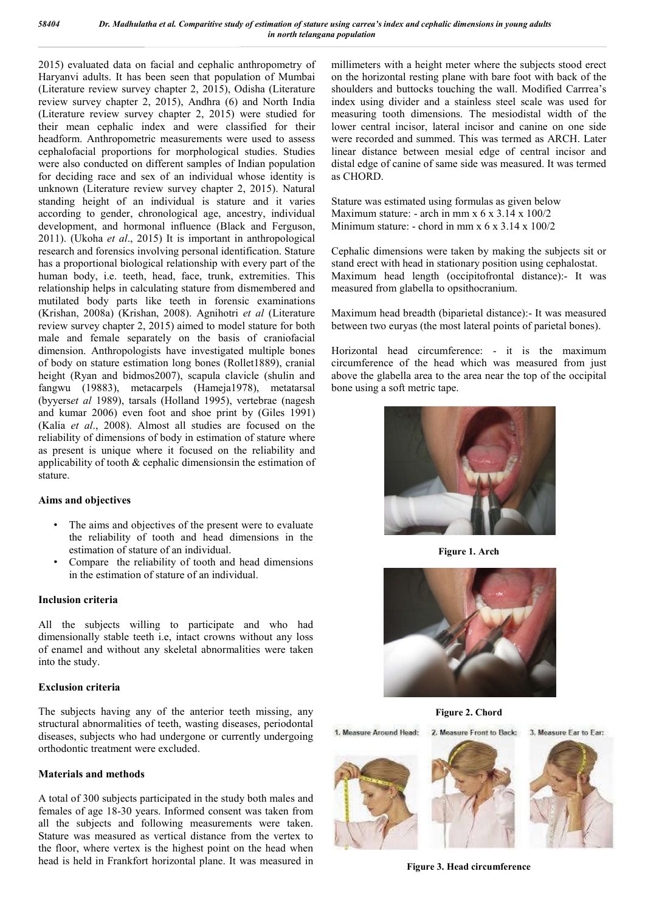2015) evaluated data on facial and cephalic anthropometry of Haryanvi adults. It has been seen that population of Mumbai (Literature review survey chapter 2, 2015), Odisha (Literature review survey chapter 2, 2015), Andhra (6) and North India (Literature review survey chapter 2, 2015) were studied for their mean cephalic index and were classified for their headform. Anthropometric measurements were used to assess cephalofacial proportions for morphological studies. Studies were also conducted on different samples of Indian population for deciding race and sex of an individual whose identity is unknown (Literature review survey chapter 2, 2015). Natural standing height of an individual is stature and it varies according to gender, chronological age, ancestry, individual development, and hormonal influence (Black and Ferguson, 2011). (Ukoha *et al*., 2015) It is important in anthropological research and forensics involving personal identification. Stature has a proportional biological relationship with every part of the human body, i.e. teeth, head, face, trunk, extremities. This relationship helps in calculating stature from dismembered and mutilated body parts like teeth in forensic examinations (Krishan, 2008a) (Krishan, 2008). Agnihotri *et al* (Literature review survey chapter 2, 2015) aimed to model stature for both male and female separately on the basis of craniofacial dimension. Anthropologists have investigated multiple bones of body on stature estimation long bones (Rollet1889), cranial height (Ryan and bidmos2007), scapula clavicle (shulin and fangwu (19883), metacarpels (Hameja1978), metatarsal (byyers*et al* 1989), tarsals (Holland 1995), vertebrae (nagesh and kumar 2006) even foot and shoe print by (Giles 1991) (Kalia *et al*., 2008). Almost all studies are focused on the reliability of dimensions of body in estimation of stature where as present is unique where it focused on the reliability and applicability of tooth & cephalic dimensionsin the estimation of stature.

#### **Aims and objectives**

- The aims and objectives of the present were to evaluate the reliability of tooth and head dimensions in the estimation of stature of an individual.
- Compare the reliability of tooth and head dimensions in the estimation of stature of an individual.

#### **Inclusion criteria**

All the subjects willing to participate and who had dimensionally stable teeth i.e, intact crowns without any loss of enamel and without any skeletal abnormalities were taken into the study.

#### **Exclusion criteria**

The subjects having any of the anterior teeth missing, any structural abnormalities of teeth, wasting diseases, periodontal diseases, subjects who had undergone or currently undergoing orthodontic treatment were excluded.

#### **Materials and methods**

A total of 300 subjects participated in the study both males and females of age 18-30 years. Informed consent was taken from all the subjects and following measurements were taken. Stature was measured as vertical distance from the vertex to the floor, where vertex is the highest point on the head when head is held in Frankfort horizontal plane. It was measured in millimeters with a height meter where the subjects stood erect on the horizontal resting plane with bare foot with back of the shoulders and buttocks touching the wall. Modified Carrrea's index using divider and a stainless steel scale was used for measuring tooth dimensions. The mesiodistal width of the lower central incisor, lateral incisor and canine on one side were recorded and summed. This was termed as ARCH. Later linear distance between mesial edge of central incisor and distal edge of canine of same side was measured. It was termed as CHORD.

Stature was estimated using formulas as given below Maximum stature: - arch in mm x 6 x 3.14 x 100/2 Minimum stature: - chord in mm x  $6 \times 3.14 \times 100/2$ 

Cephalic dimensions were taken by making the subjects sit or stand erect with head in stationary position using cephalostat. Maximum head length (occipitofrontal distance):- It was measured from glabella to opsithocranium.

Maximum head breadth (biparietal distance):- It was measured between two euryas (the most lateral points of parietal bones).

Horizontal head circumference: - it is the maximum circumference of the head which was measured from just above the glabella area to the area near the top of the occipital bone using a soft metric tape.



**Figure 1. Arch**



**Figure 2. Chord**

1. Measure Around Head: 2. Measure Front to Back:

3 Moasure Far to Far:







**Figure 3. Head circumference**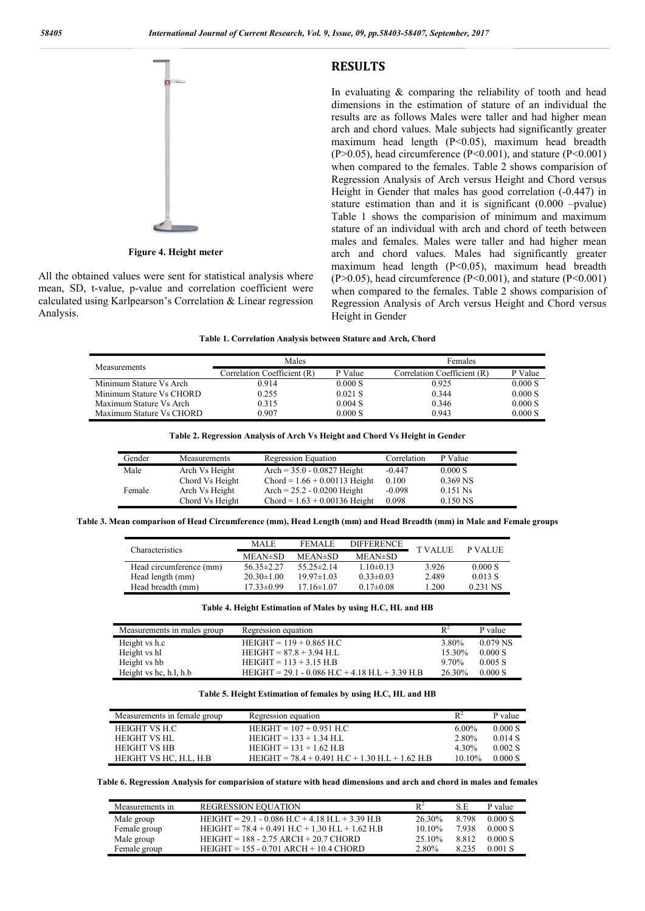**RESULTS**



**Figure 4. Height meter**

All the obtained values were sent for statistical analysis where mean, SD, t-value, p-value and correlation coefficient were calculated using Karlpearson's Correlation & Linear regression Analysis.

In evaluating  $&$  comparing the reliability of tooth and head dimensions in the estimation of stature of an individual the results are as follows Males were taller and had higher mean arch and chord values. Male subjects had significantly greater maximum head length (P<0.05), maximum head breadth  $(P>0.05)$ , head circumference  $(P<0.001)$ , and stature  $(P<0.001)$ when compared to the females. Table 2 shows comparision of Regression Analysis of Arch versus Height and Chord versus Height in Gender that males has good correlation (-0.447) in stature estimation than and it is significant (0.000 –pvalue) Table 1 shows the comparision of minimum and maximum stature of an individual with arch and chord of teeth between males and females. Males were taller and had higher mean arch and chord values. Males had significantly greater maximum head length (P<0.05), maximum head breadth  $(P>0.05)$ , head circumference  $(P<0.001)$ , and stature  $(P<0.001)$ when compared to the females. Table 2 shows comparision of Regression Analysis of Arch versus Height and Chord versus Height in Gender

**Table 1. Correlation Analysis between Stature and Arch, Chord**

| Measurements             | Males                       |           | Females                     |         |  |
|--------------------------|-----------------------------|-----------|-----------------------------|---------|--|
|                          | Correlation Coefficient (R) | P Value   | Correlation Coefficient (R) | P Value |  |
| Minimum Stature Vs Arch  | 0.914                       | 0.000 S   | 0.925                       | 0.000 S |  |
| Minimum Stature Vs CHORD | 0.255                       | $0.021$ S | 0.344                       | 0.000 S |  |
| Maximum Stature Vs Arch  | 0.315                       | 0.004 S   | 0.346                       | 0.000 S |  |
| Maximum Stature Vs CHORD | 0.907                       | 0.000 S   | 0.943                       | 0.000 S |  |

**Table 2. Regression Analysis of Arch Vs Height and Chord Vs Height in Gender**

| Gender | Measurements    | Regression Equation             | Correlation | P Value    |
|--------|-----------------|---------------------------------|-------------|------------|
| Male   | Arch Vs Height  | Arch = $35.0 - 0.0827$ Height   | $-0.447$    | 0.000 S    |
|        | Chord Vs Height | $Chord = 1.66 + 0.00113$ Height | 0.100       | $0.369$ NS |
| Female | Arch Vs Height  | Arch = $25.2 - 0.0200$ Height   | $-0.098$    | $0.151$ Ns |
|        | Chord Vs Height | $Chord = 1.63 + 0.00136$ Height | 0.098       | $0.150$ NS |

**Table 3. Mean comparison of Head Circumference (mm), Head Length (mm) and Head Breadth (mm) in Male and Female groups**

| <b>MALE</b>      | <b>FEMALE</b>    | <b>DIFFERENCE</b> |           | <b>P VALUE</b> |  |
|------------------|------------------|-------------------|-----------|----------------|--|
| MEAN#SD          | MEAN#SD          | MEAN#SD           |           |                |  |
| $56.35 \pm 2.27$ | 55 $25\pm 2.14$  | $1.10\pm0.13$     | 3.926     | 0.000 S        |  |
| $20.30 \pm 1.00$ | $19.97 \pm 1.03$ | $0.33 \pm 0.03$   | 2.489     | 0.013 S        |  |
| $17.33 \pm 0.99$ | $17.16\pm1.07$   | $0.17 \pm 0.08$   | $\pm 200$ | 0.231 NS       |  |
|                  |                  |                   |           | <b>TVALUE</b>  |  |

**Table 4. Height Estimation of Males by using H.C, HL and HB**

| Measurements in males group | Regression equation                               | $\mathbb{R}^2$ | P value    |
|-----------------------------|---------------------------------------------------|----------------|------------|
| Height vs h.c               | $HEIGHT = 119 + 0.865$ H.C                        | 3.80%          | $0.079$ NS |
| Height vs hl                | $HEIGHT = 87.8 + 3.94 H.I.$                       | 15.30%         | 0.000 S    |
| Height vs hb                | $HEIGHT = 113 + 3.15 H.B$                         | 970%           | 0.005 S    |
| Height vs hc, h.l, h.b      | $HEIGHT = 29.1 - 0.086$ H.C + 4.18 H.L + 3.39 H.B | 26.30%         | 0.000 S    |

#### **Table 5. Height Estimation of females by using H.C, HL and HB**

| Measurements in female group | Regression equation                               | $R^2$    | P value   |
|------------------------------|---------------------------------------------------|----------|-----------|
| HEIGHT VS H.C                | $HEIGHT = 107 + 0.951 H.C$                        | $6.00\%$ | 0.000 S   |
| HEIGHT VS HL                 | $HEIGHT = 133 + 1.34 H.L.$                        | 2.80%    | 0 0 1 4 S |
| <b>HEIGHT VS HB</b>          | $HEIGHT = 131 + 1.62 H.B$                         | 4 30%    | 0.002 S   |
| HEIGHT VS HC, H.L, H.B       | HEIGHT = $78.4 + 0.491$ H.C + 1.30 H.L + 1.62 H.B | $1010\%$ | 0.000 S   |

**Table 6. Regression Analysis for comparision of stature with head dimensions and arch and chord in males and females**

| Measurements in | <b>REGRESSION EQUATION</b>                        | $\mathbf{R}^2$ | S.E     | P value   |
|-----------------|---------------------------------------------------|----------------|---------|-----------|
| Male group      | HEIGHT = $29.1 - 0.086$ H.C + 4.18 H.L + 3.39 H.B | 26.30%         | 8 7 9 8 | 0.000 S   |
| Female group    | $HEIGHT = 78.4 + 0.491$ H.C + 1.30 H.L + 1.62 H.B | $1010\%$       | 7938    | 0.000 S   |
| Male group      | $HEIGHT = 188 - 2.75 ARCH + 20.7 CHORD$           | 25 10%         | 8812    | 0.000 S   |
| Female group    | $HEIGHT = 155 - 0.701 ARCH + 10.4 CHORD$          | 2.80%          | 8235    | $0.001$ S |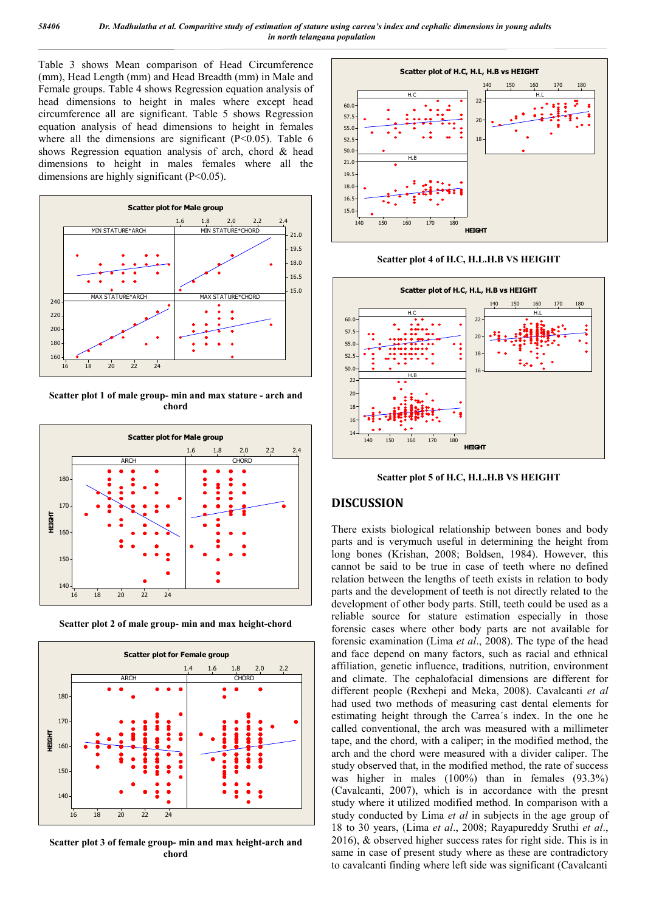Table 3 shows Mean comparison of Head Circumference (mm), Head Length (mm) and Head Breadth (mm) in Male and Female groups. Table 4 shows Regression equation analysis of head dimensions to height in males where except head circumference all are significant. Table 5 shows Regression equation analysis of head dimensions to height in females where all the dimensions are significant  $(P<0.05)$ . Table 6 shows Regression equation analysis of arch, chord & head dimensions to height in males females where all the dimensions are highly significant (P<0.05).



**Scatter plot 1 of male group- min and max stature - arch and chord**



**Scatter plot 2 of male group- min and max height-chord**



**Scatter plot 3 of female group- min and max height-arch and chord**



**Scatter plot 4 of H.C, H.L.H.B VS HEIGHT**



**Scatter plot 5 of H.C, H.L.H.B VS HEIGHT**

### **DISCUSSION**

There exists biological relationship between bones and body parts and is verymuch useful in determining the height from long bones (Krishan, 2008; Boldsen, 1984). However, this cannot be said to be true in case of teeth where no defined relation between the lengths of teeth exists in relation to body parts and the development of teeth is not directly related to the development of other body parts. Still, teeth could be used as a reliable source for stature estimation especially in those forensic cases where other body parts are not available for forensic examination (Lima *et al*., 2008). The type of the head and face depend on many factors, such as racial and ethnical affiliation, genetic influence, traditions, nutrition, environment and climate. The cephalofacial dimensions are different for different people (Rexhepi and Meka, 2008). Cavalcanti *et al* had used two methods of measuring cast dental elements for estimating height through the Carrea´s index. In the one he called conventional, the arch was measured with a millimeter tape, and the chord, with a caliper; in the modified method, the arch and the chord were measured with a divider caliper. The study observed that, in the modified method, the rate of success was higher in males (100%) than in females (93.3%) (Cavalcanti, 2007), which is in accordance with the presnt study where it utilized modified method. In comparison with a study conducted by Lima *et al* in subjects in the age group of 18 to 30 years, (Lima *et al*., 2008; Rayapureddy Sruthi *et al*., 2016), & observed higher success rates for right side. This is in same in case of present study where as these are contradictory to cavalcanti finding where left side was significant (Cavalcanti